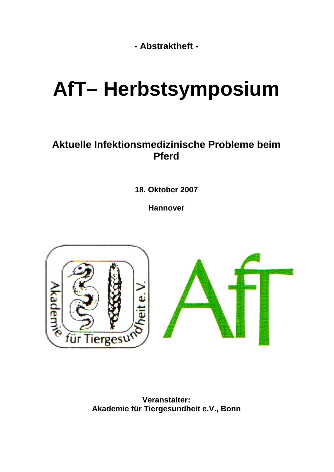**- Abstraktheft -** 

# **AfT– Herbstsymposium**

### **Aktuelle Infektionsmedizinische Probleme beim Pferd**

**18. Oktober 2007** 

**Hannover** 



**Veranstalter: Akademie für Tiergesundheit e.V., Bonn**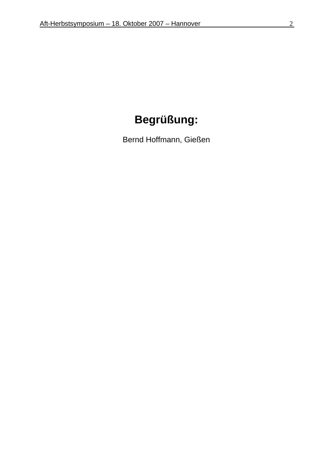# **Begrüßung:**

Bernd Hoffmann, Gießen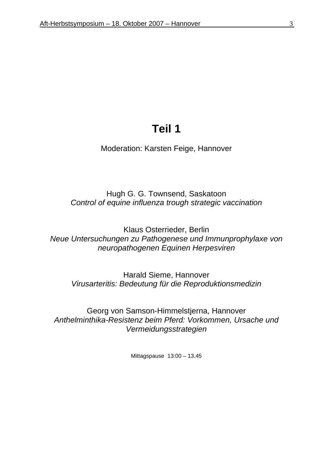### **Teil 1**

Moderation: Karsten Feige, Hannover

Hugh G. G. Townsend, Saskatoon *Control of equine influenza trough strategic vaccination* 

Klaus Osterrieder, Berlin *Neue Untersuchungen zu Pathogenese und Immunprophylaxe von neuropathogenen Equinen Herpesviren* 

Harald Sieme, Hannover *Virusarteritis: Bedeutung für die Reproduktionsmedizin* 

Georg von Samson-Himmelstjerna, Hannover *Anthelminthika-Resistenz beim Pferd: Vorkommen, Ursache und Vermeidungsstrategien* 

Mittagspause 13:00 – 13.45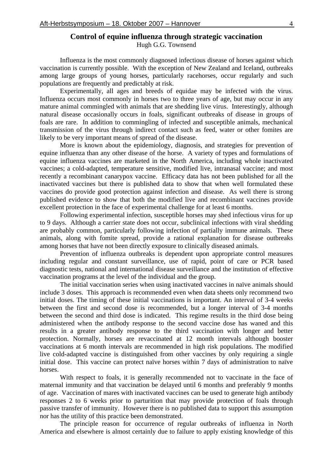### **Control of equine influenza through strategic vaccination**

Hugh G.G. Townsend

Influenza is the most commonly diagnosed infectious disease of horses against which vaccination is currently possible. With the exception of New Zealand and Iceland, outbreaks among large groups of young horses, particularly racehorses, occur regularly and such populations are frequently and predictably at risk.

Experimentally, all ages and breeds of equidae may be infected with the virus. Influenza occurs most commonly in horses two to three years of age, but may occur in any mature animal commingled with animals that are shedding live virus. Interestingly, although natural disease occasionally occurs in foals, significant outbreaks of disease in groups of foals are rare. In addition to commingling of infected and susceptible animals, mechanical transmission of the virus through indirect contact such as feed, water or other fomites are likely to be very important means of spread of the disease.

More is known about the epidemiology, diagnosis, and strategies for prevention of equine influenza than any other disease of the horse. A variety of types and formulations of equine influenza vaccines are marketed in the North America, including whole inactivated vaccines; a cold-adapted, temperature sensitive, modified live, intranasal vaccine; and most recently a recombinant canarypox vaccine. Efficacy data has not been published for all the inactivated vaccines but there is published data to show that when well formulated these vaccines do provide good protection against infection and disease. As well there is strong published evidence to show that both the modified live and recombinant vaccines provide excellent protection in the face of experimental challenge for at least 6 months.

Following experimental infection, susceptible horses may shed infectious virus for up to 9 days. Although a carrier state does not occur, subclinical infections with viral shedding are probably common, particularly following infection of partially immune animals. These animals, along with fomite spread, provide a rational explanation for disease outbreaks among horses that have not been directly exposure to clinically diseased animals.

Prevention of influenza outbreaks is dependent upon appropriate control measures including regular and constant surveillance, use of rapid, point of care or PCR based diagnostic tests, national and international disease surveillance and the institution of effective vaccination programs at the level of the individual and the group.

The initial vaccination series when using inactivated vaccines in naïve animals should include 3 doses. This approach is recommended even when data sheets only recommend two initial doses. The timing of these initial vaccinations is important. An interval of 3-4 weeks between the first and second dose is recommended, but a longer interval of 3-4 months between the second and third dose is indicated. This regime results in the third dose being administered when the antibody response to the second vaccine dose has waned and this results in a greater antibody response to the third vaccination with longer and better protection. Normally, horses are revaccinated at 12 month intervals although booster vaccinations at 6 month intervals are recommended in high risk populations. The modified live cold-adapted vaccine is distinguished from other vaccines by only requiring a single initial dose. This vaccine can protect naïve horses within 7 days of administration to naïve horses.

With respect to foals, it is generally recommended not to vaccinate in the face of maternal immunity and that vaccination be delayed until 6 months and preferably 9 months of age. Vaccination of mares with inactivated vaccines can be used to generate high antibody responses 2 to 6 weeks prior to parturition that may provide protection of foals through passive transfer of immunity. However there is no published data to support this assumption nor has the utility of this practice been demonstrated.

The principle reason for occurrence of regular outbreaks of influenza in North America and elsewhere is almost certainly due to failure to apply existing knowledge of this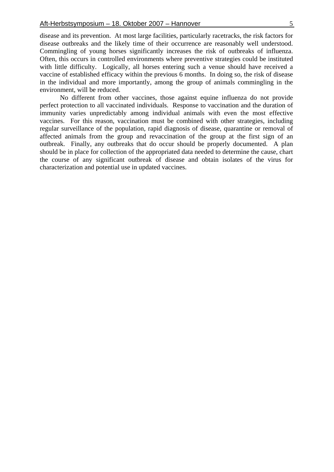No different from other vaccines, those against equine influenza do not provide perfect protection to all vaccinated individuals. Response to vaccination and the duration of immunity varies unpredictably among individual animals with even the most effective vaccines. For this reason, vaccination must be combined with other strategies, including regular surveillance of the population, rapid diagnosis of disease, quarantine or removal of affected animals from the group and revaccination of the group at the first sign of an outbreak. Finally, any outbreaks that do occur should be properly documented. A plan should be in place for collection of the appropriated data needed to determine the cause, chart the course of any significant outbreak of disease and obtain isolates of the virus for characterization and potential use in updated vaccines.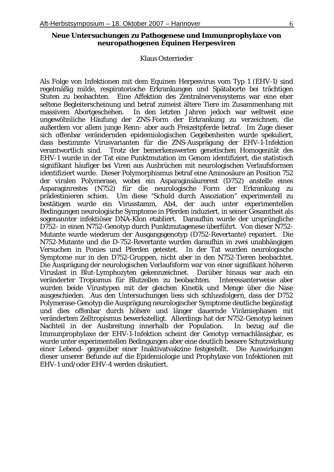#### **Neue Untersuchungen zu Pathogenese und Immunprophylaxe von neuropathogenen Equinen Herpesviren**

#### Klaus Osterrieder

Als Folge von Infektionen mit dem Equinen Herpesvirus vom Typ 1 (EHV-1) sind regelmäßig milde, respiratorische Erkrankungen und Spätaborte bei trächtigen Stuten zu beobachten. Eine Affektion des Zentralnervensystems war eine eher seltene Begleiterscheinung und betraf zumeist ältere Tiere im Zusammenhang mit massivem Abortgeschehen. In den letzten Jahren jedoch war weltweit eine ungewöhnliche Häufung der ZNS-Form der Erkrankung zu verzeichnen, die außerdem vor allem junge Renn- aber auch Freizeitpferde betraf. Im Zuge dieser sich offenbar verändernden epidemiologischen Gegebenheiten wurde spekuliert, dass bestimmte Virusvarianten für die ZNS-Ausprägung der EHV-1-Infektion verantwortlich sind. Trotz der bemerkenswerten genetischen Homogenität des EHV-1 wurde in der Tat eine Punktmutation im Genom identifiziert, die statistisch signifikant häufiger bei Viren aus Ausbrüchen mit neurologischen Verlaufsformen identifiziert wurde. Dieser Polymorphismus betraf eine Aminosäure an Position 752 der viralen Polymerase, wobei ein Asparaginsäurerest (D752) anstelle eines Asparaginrestes (N752) für die neurologische Form der Erkrankung zu prädestinieren schien. Um diese "Schuld durch Assoziation" experimentell zu bestätigen wurde ein Virusstamm, Ab4, der auch unter experimentellen Bedingungen neurologische Symptome in Pferden induziert, in seiner Gesamtheit als sogenannter infektiöser DNA-Klon etabliert. Daraufhin wurde der ursprüngliche D752- in einen N752-Genotyp durch Punktmutagenese überführt. Von dieser N752- Mutante wurde wiederum der Ausgangsgenotyp (D752-Revertante) repariert. Die N752-Mutante und die D-752-Revertante wurden daraufhin in zwei unabhängigen Versuchen in Ponies und Pferden getestet. In der Tat wurden neurologische Symptome nur in den D752-Gruppen, nicht aber in den N752-Tieren beobachtet. Die Ausprägung der neurologischen Verlaufsform war von einer signifikant höheren Viruslast in Blut-Lymphozyten gekennzeichnet. Darüber hinaus war auch ein veränderter Tropismus für Blutzellen zu beobachten. Interessanterweise aber wurden beide Virustypen mit der gleichen Kinetik und Menge über die Nase ausgeschieden. Aus den Untersuchungen liess sich schlussfolgern, dass der D752 Polymerase-Genotyp die Ausprägung neurologischer Symptome deutliche begünstigt und dies offenbar durch höhere und länger dauernde Virämiephasen mit verändertem Zelltropismus bewerkstelligt. Allerdings hat der N752-Genotyp keinen Nachteil in der Ausbreitung innerhalb der Population. In bezug auf die Immunprophylaxe der EHV-1-Infektion scheint der Genotyp vernachlässigbar, es wurde unter experimentellen Bedingungen aber eine deutlich bessere Schutzwirkung einer Lebend- gegenüber einer Inaktivatvakzine festgestellt. Die Auswirkungen dieser unserer Befunde auf die Epidemiologie und Prophylaxe von Infektionen mit EHV-1 und/oder EHV-4 werden diskutiert.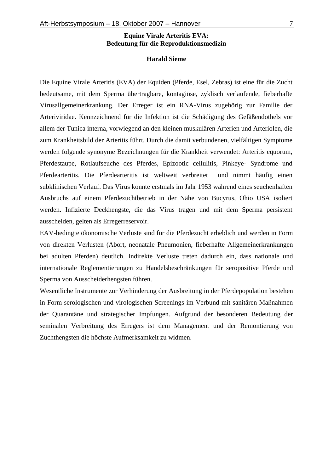#### **Equine Virale Arteritis EVA: Bedeutung für die Reproduktionsmedizin**

#### **Harald Sieme**

Die Equine Virale Arteritis (EVA) der Equiden (Pferde, Esel, Zebras) ist eine für die Zucht bedeutsame, mit dem Sperma übertragbare, kontagiöse, zyklisch verlaufende, fieberhafte Virusallgemeinerkrankung. Der Erreger ist ein RNA-Virus zugehörig zur Familie der Arteriviridae. Kennzeichnend für die Infektion ist die Schädigung des Gefäßendothels vor allem der Tunica interna, vorwiegend an den kleinen muskulären Arterien und Arteriolen, die zum Krankheitsbild der Arteritis führt. Durch die damit verbundenen, vielfältigen Symptome werden folgende synonyme Bezeichnungen für die Krankheit verwendet: Arteritis equorum, Pferdestaupe, Rotlaufseuche des Pferdes, Epizootic cellulitis, Pinkeye- Syndrome und Pferdearteritis. Die Pferdearteritis ist weltweit verbreitet und nimmt häufig einen subklinischen Verlauf. Das Virus konnte erstmals im Jahr 1953 während eines seuchenhaften Ausbruchs auf einem Pferdezuchtbetrieb in der Nähe von Bucyrus, Ohio USA isoliert werden. Infizierte Deckhengste, die das Virus tragen und mit dem Sperma persistent ausscheiden, gelten als Erregerreservoir.

EAV-bedingte ökonomische Verluste sind für die Pferdezucht erheblich und werden in Form von direkten Verlusten (Abort, neonatale Pneumonien, fieberhafte Allgemeinerkrankungen bei adulten Pferden) deutlich. Indirekte Verluste treten dadurch ein, dass nationale und internationale Reglementierungen zu Handelsbeschränkungen für seropositive Pferde und Sperma von Ausscheiderhengsten führen.

Wesentliche Instrumente zur Verhinderung der Ausbreitung in der Pferdepopulation bestehen in Form serologischen und virologischen Screenings im Verbund mit sanitären Maßnahmen der Quarantäne und strategischer Impfungen. Aufgrund der besonderen Bedeutung der seminalen Verbreitung des Erregers ist dem Management und der Remontierung von Zuchthengsten die höchste Aufmerksamkeit zu widmen.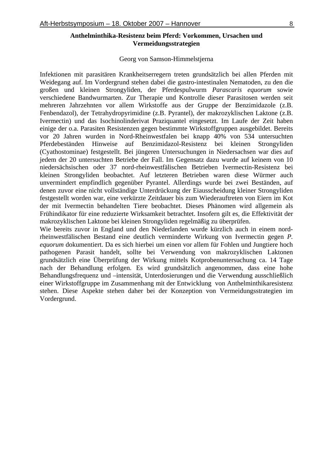#### **Anthelminthika-Resistenz beim Pferd: Vorkommen, Ursachen und Vermeidungsstrategien**

#### Georg von Samson-Himmelstjerna

Infektionen mit parasitären Krankheitserregern treten grundsätzlich bei allen Pferden mit Weidegang auf. Im Vordergrund stehen dabei die gastro-intestinalen Nematoden, zu den die großen und kleinen Strongyliden, der Pferdespulwurm *Parascaris equorum* sowie verschiedene Bandwurmarten. Zur Therapie und Kontrolle dieser Parasitosen werden seit mehreren Jahrzehnten vor allem Wirkstoffe aus der Gruppe der Benzimidazole (z.B. Fenbendazol), der Tetrahydropyrimidine (z.B. Pyrantel), der makrozyklischen Laktone (z.B. Ivermectin) und das Isochinolinderivat Praziquantel eingesetzt. Im Laufe der Zeit haben einige der o.a. Parasiten Resistenzen gegen bestimmte Wirkstoffgruppen ausgebildet. Bereits vor 20 Jahren wurden in Nord-Rheinwestfalen bei knapp 40% von 534 untersuchten Pferdebeständen Hinweise auf Benzimidazol-Resistenz bei kleinen Strongyliden (Cyathostominae) festgestellt. Bei jüngeren Untersuchungen in Niedersachsen war dies auf jedem der 20 untersuchten Betriebe der Fall. Im Gegensatz dazu wurde auf keinem von 10 niedersächsischen oder 37 nord-rheinwestfälischen Betrieben Ivermectin-Resistenz bei kleinen Strongyliden beobachtet. Auf letzteren Betrieben waren diese Würmer auch unvermindert empfindlich gegenüber Pyrantel. Allerdings wurde bei zwei Beständen, auf denen zuvor eine nicht vollständige Unterdrückung der Eiausscheidung kleiner Strongyliden festgestellt worden war, eine verkürzte Zeitdauer bis zum Wiederauftreten von Eiern im Kot der mit Ivermectin behandelten Tiere beobachtet. Dieses Phänomen wird allgemein als Frühindikator für eine reduzierte Wirksamkeit betrachtet. Insofern gilt es, die Effektivität der makrozyklischen Laktone bei kleinen Strongyliden regelmäßig zu überprüfen.

Wie bereits zuvor in England und den Niederlanden wurde kürzlich auch in einem nordrheinwestfälischen Bestand eine deutlich verminderte Wirkung von Ivermectin gegen *P. equorum* dokumentiert. Da es sich hierbei um einen vor allem für Fohlen und Jungtiere hoch pathogenen Parasit handelt, sollte bei Verwendung von makrozyklischen Laktonen grundsätzlich eine Überprüfung der Wirkung mittels Kotprobenuntersuchung ca. 14 Tage nach der Behandlung erfolgen. Es wird grundsätzlich angenommen, dass eine hohe Behandlungsfrequenz und –intensität, Unterdosierungen und die Verwendung ausschließlich einer Wirkstoffgruppe im Zusammenhang mit der Entwicklung von Anthelminthikaresistenz stehen. Diese Aspekte stehen daher bei der Konzeption von Vermeidungsstrategien im Vordergrund.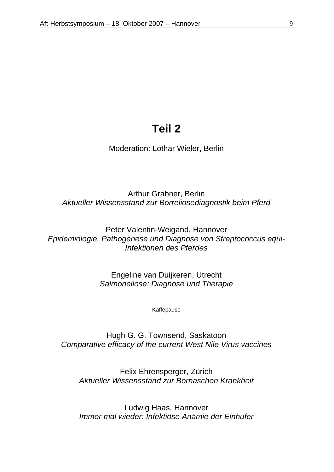### **Teil 2**

Moderation: Lothar Wieler, Berlin

Arthur Grabner, Berlin *Aktueller Wissensstand zur Borreliosediagnostik beim Pferd* 

Peter Valentin-Weigand, Hannover *Epidemiologie, Pathogenese und Diagnose von Streptococcus equi-Infektionen des Pferdes* 

> Engeline van Duijkeren, Utrecht *Salmonellose: Diagnose und Therapie*

> > Kaffepause

Hugh G. G. Townsend, Saskatoon *Comparative efficacy of the current West Nile Virus vaccines* 

Felix Ehrensperger, Zürich *Aktueller Wissensstand zur Bornaschen Krankheit* 

Ludwig Haas, Hannover *Immer mal wieder: Infektiöse Anämie der Einhufer*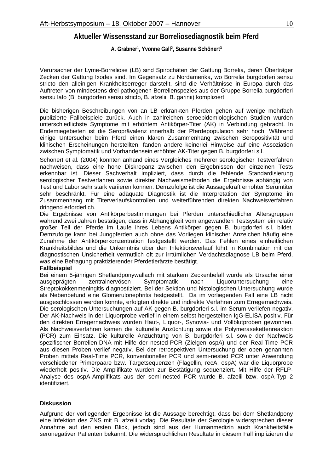#### **Aktueller Wissensstand zur Borreliosediagnostik beim Pferd**

**A. Grabner1, Yvonne Gall2, Susanne Schönert3** 

Verursacher der Lyme-Borreliose (LB) sind Spirochäten der Gattung Borrelia, deren Überträger Zecken der Gattung Ixodes sind. Im Gegensatz zu Nordamerika, wo Borrelia burgdorferi sensu stricto den alleinigen Krankheitserreger darstellt, sind die Verhältnisse in Europa durch das Auftreten von mindestens drei pathogenen Borrelienspezies aus der Gruppe Borrelia burgdorferi sensu lato (B. burgdorferi sensu stricto, B. afzelii, B. garinii) kompliziert.

Die bisherigen Beschreibungen von an LB erkrankten Pferden gehen auf wenige mehrfach publizierte Fallbeispiele zurück. Auch in zahlreichen seroepidemiologischen Studien wurden unterschiedlichste Symptome mit erhöhtem Antikörper-Titer (AK) in Verbindung gebracht. In Endemiegebieten ist die Seroprävalenz innerhalb der Pferdepopulation sehr hoch. Während einige Untersucher beim Pferd einen klaren Zusammenhang zwischen Seropositivität und klinischen Erscheinungen herstellten, fanden andere keinerlei Hinweise auf eine Assoziation zwischen Symptomatik und Vorhandensein erhöhter AK-Titer gegen B. burgdorferi s.l.

Schönert et al. (2004) konnten anhand eines Vergleiches mehrerer serologischer Testverfahren nachweisen, dass eine hohe Diskrepanz zwischen den Ergebnissen der einzelnen Tests erkennbar ist. Dieser Sachverhalt impliziert, dass durch die fehlende Standardisierung serologischer Testverfahren sowie direkter Nachweismethoden die Ergebnisse abhängig von Test und Labor sehr stark variieren können. Demzufolge ist die Aussagekraft erhöhter Serumtiter sehr beschränkt. Für eine adäquate Diagnostik ist die Interpretation der Symptome im Zusammenhang mit Titerverlaufskontrollen und weiterführenden direkten Nachweisverfahren dringend erforderlich.

Die Ergebnisse von Antikörperbestimmungen bei Pferden unterschiedlicher Altersgruppen während zwei Jahren bestätigen, dass in Abhängigkeit vom angewandten Testsystem ein relativ großer Teil der Pferde im Laufe ihres Lebens Antikörper gegen B. burgdorferi s.l. bildet. Demzufolge kann bei Jungpferden auch ohne das Vorliegen klinischer Anzeichen häufig eine Zunahme der Antikörperkonzentration festgestellt werden. Das Fehlen eines einheitlichen Krankheitsbildes und die Unkenntnis über den Infektionsverlauf führt in Kombination mit der diagnostischen Unsicherheit vermutlich oft zur irrtümlichen Verdachtsdiagnose LB beim Pferd, was eine Befragung praktizierender Pferdetierärzte bestätigt.

#### **Fallbeispiel**

Bei einem 5-jährigen Shetlandponywallach mit starkem Zeckenbefall wurde als Ursache einer ausgeprägten zentralnervösen Symptomatik nach Liquoruntersuchung eine Streptokokkenmeningitis diagnostiziert. Bei der Sektion und histologischen Untersuchung wurde als Nebenbefund eine Glomerulonephritis festgestellt. Da im vorliegenden Fall eine LB nicht ausgeschlossen werden konnte, erfolgten direkte und indirekte Verfahren zum Erregernachweis. Die serologischen Untersuchungen auf AK gegen B. burgdorferi s.l. im Serum verliefen negativ. Der AK-Nachweis in der Liquorprobe verlief in einem selbst hergestellten IgG-ELISA positiv. Für den direkten Erregernachweis wurden Haut-, Liquor-, Synovia- und Vollblutproben gewonnen. Als Nachweisverfahren kamen die kulturelle Anzüchtung sowie die Polymerasekettenreaktion (PCR) zum Einsatz. Die kulturelle Anzüchtung von B. burgdorferi s.l. sowie der Nachweis spezifischer Borrelien-DNA mit Hilfe der nested-PCR (Zielgen ospA) und der Real-Time PCR aus diesen Proben verlief negativ. Bei der retrospektiven Untersuchung der oben genannten Proben mittels Real-Time PCR, konventioneller PCR und semi-nested PCR unter Anwendung verschiedener Primerpaare bzw. Targetsequenzen (Flagellin, recA, ospA) war die Liquorprobe wiederholt positiv. Die Amplifikate wurden zur Bestätigung sequenziert. Mit Hilfe der RFLP-Analyse des ospA-Amplifikats aus der semi-nested PCR wurde B. afzelii bzw. ospA-Typ 2 identifiziert.

#### **Diskussion**

Aufgrund der vorliegenden Ergebnisse ist die Aussage berechtigt, dass bei dem Shetlandpony eine Infektion des ZNS mit B. afzelii vorlag. Die Resultate der Serologie widersprechen dieser Annahme auf den ersten Blick, jedoch sind aus der Humanmedizin auch Krankheitsfälle seronegativer Patienten bekannt. Die widersprüchlichen Resultate in diesem Fall implizieren die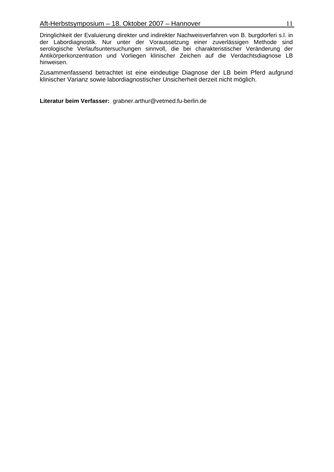Dringlichkeit der Evaluierung direkter und indirekter Nachweisverfahren von B. burgdorferi s.l. in der Labordiagnostik. Nur unter der Voraussetzung einer zuverlässigen Methode sind serologische Verlaufsuntersuchungen sinnvoll, die bei charakteristischer Veränderung der Antikörperkonzentration und Vorliegen klinischer Zeichen auf die Verdachtsdiagnose LB hinweisen.

Zusammenfassend betrachtet ist eine eindeutige Diagnose der LB beim Pferd aufgrund klinischer Varianz sowie labordiagnostischer Unsicherheit derzeit nicht möglich.

**Literatur beim Verfasser:** grabner.arthur@vetmed.fu-berlin.de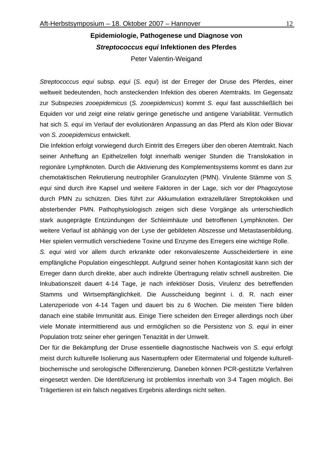### **Epidemiologie, Pathogenese und Diagnose von**  *Streptococcus equi* **Infektionen des Pferdes**  Peter Valentin-Weigand

*Streptococcus equi* subsp. *equi* (*S. equi*) ist der Erreger der Druse des Pferdes, einer weltweit bedeutenden, hoch ansteckenden Infektion des oberen Atemtrakts. Im Gegensatz zur Subspezies *zooepidemicus* (*S. zooepidemicus*) kommt *S. equi* fast ausschließlich bei Equiden vor und zeigt eine relativ geringe genetische und antigene Variabilität. Vermutlich hat sich *S. equi* im Verlauf der evolutionären Anpassung an das Pferd als Klon oder Biovar von *S. zooepidemicus* entwickelt.

Die Infektion erfolgt vorwiegend durch Eintritt des Erregers über den oberen Atemtrakt. Nach seiner Anheftung an Epithelzellen folgt innerhalb weniger Stunden die Translokation in regionäre Lymphknoten. Durch die Aktivierung des Komplementsystems kommt es dann zur chemotaktischen Rekrutierung neutrophiler Granulozyten (PMN). Virulente Stämme von *S. equi* sind durch ihre Kapsel und weitere Faktoren in der Lage, sich vor der Phagozytose durch PMN zu schützen. Dies führt zur Akkumulation extrazellulärer Streptokokken und absterbender PMN. Pathophysiologisch zeigen sich diese Vorgänge als unterschiedlich stark ausgeprägte Entzündungen der Schleimhäute und betroffenen Lymphknoten. Der weitere Verlauf ist abhängig von der Lyse der gebildeten Abszesse und Metastasenbildung. Hier spielen vermutlich verschiedene Toxine und Enzyme des Erregers eine wichtige Rolle.

*S. equi* wird vor allem durch erkrankte oder rekonvaleszente Ausscheidertiere in eine empfängliche Population eingeschleppt. Aufgrund seiner hohen Kontagiosität kann sich der Erreger dann durch direkte, aber auch indirekte Übertragung relativ schnell ausbreiten. Die Inkubationszeit dauert 4-14 Tage, je nach infektiöser Dosis, Virulenz des betreffenden Stamms und Wirtsempfänglichkeit. Die Ausscheidung beginnt i. d. R. nach einer Latenzperiode von 4-14 Tagen und dauert bis zu 6 Wochen. Die meisten Tiere bilden danach eine stabile Immunität aus. Einige Tiere scheiden den Erreger allerdings noch über viele Monate intermittierend aus und ermöglichen so die Persistenz von *S. equi* in einer Population trotz seiner eher geringen Tenazität in der Umwelt.

Der für die Bekämpfung der Druse essentielle diagnostische Nachweis von *S. equi* erfolgt meist durch kulturelle Isolierung aus Nasentupfern oder Eitermaterial und folgende kulturellbiochemische und serologische Differenzierung. Daneben können PCR-gestützte Verfahren eingesetzt werden. Die Identifizierung ist problemlos innerhalb von 3-4 Tagen möglich. Bei Trägertieren ist ein falsch negatives Ergebnis allerdings nicht selten.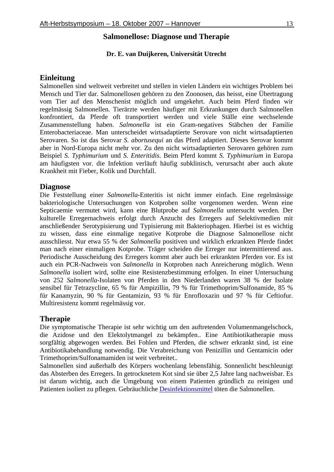#### **Salmonellose: Diagnose und Therapie**

#### **Dr. E. van Duijkeren, Universität Utrecht**

#### **Einleitung**

Salmonellen sind weltweit verbreitet und stellen in vielen Ländern ein wichtiges Problem bei Mensch und Tier dar. Salmonellosen gehören zu den Zoonosen, das heisst, eine Übertragung vom Tier auf den Menschenist möglich und umgekehrt. Auch beim Pferd finden wir regelmässig Salmonellen. Tierärzte werden häufiger mit Erkrankungen durch Salmonellen konfrontiert, da Pferde oft transportiert werden und viele Ställe eine wechselende Zusammenstellung haben. *Salmonella* ist ein Gram-negatives Stäbchen der Familie Enterobacteriaceae. Man unterscheidet wirtsadaptierte Serovare von nicht wirtsadaptierten Serovaren. So ist das Serovar *S. abortusequi* an das Pferd adaptiert. Dieses Serovar kommt aber in Nord-Europa nicht mehr vor. Zu den nicht wirtsadaptierten Serovaren gehören zum Beispiel *S. Typhimurium* und *S. Enteritidis*. Beim Pferd kommt *S. Typhimurium* in Europa am häufigsten vor. die Infektion verläuft häufig subklinisch, verursacht aber auch akute Krankheit mit Fieber, Kolik und Durchfall.

#### **Diagnose**

Die Feststellung einer *Salmonella*-Enteritis ist nicht immer einfach. Eine regelmässige bakteriologische Untersuchungen von Kotproben sollte vorgenomen werden. Wenn eine Septicaemie vermutet wird, kann eine Blutprobe auf *Salmonella* untersucht werden. Der kulturelle Erregernachweis erfolgt durch Anzucht des Erregers auf Selektivmedien mit anschließender Serotypisierung und Typisierung mit Bakteriophagen. Hierbei ist es wichtig zu wissen, dass eine einmalige negative Kotprobe die Diagnose Salmonellose nicht ausschliesst. Nur etwa 55 % der *Salmonella* positiven und wirklich erkrankten Pferde findet man nach einer einmaligen Kotprobe. Träger scheiden die Erreger nur intermittierend aus. Periodische Ausscheidung des Erregers kommt aber auch bei erkrankten Pferden vor. Es ist auch ein PCR-Nachweis von *Salmonella* in Kotproben nach Anreicherung möglich. Wenn *Salmonella* isoliert wird, sollte eine Resistenzbestimmung erfolgen. In einer Untersuchung von 252 *Salmonella*-Isolaten von Pferden in den Niederlanden waren 38 % der Isolate sensibel für Tetrazycline, 65 % für Ampizillin, 79 % für Trimethoprim/Sulfonamide, 85 % für Kanamyzin, 90 % für Gentamizin, 93 % für Enrofloxazin und 97 % für Ceftiofur. Multiresistenz kommt regelmässig vor.

#### **Therapie**

Die symptomatische Therapie ist sehr wichtig um den auftretenden Volumenmangelschock, die Azidose und den Elektolytmangel zu bekämpfen.. Eine Antibiotikatherapie muss sorgfältig abgewogen werden. Bei Fohlen und Pferden, die schwer erkrankt sind, ist eine Antibiotikabehandlung notwendig. Die Verabreichung von Penizillin und Gentamicin oder Trimethoprim/Sulfonamamiden ist weit verbreitet..

Salmonellen sind außerhalb des Körpers wochenlang lebensfähig. Sonnenlicht beschleunigt das Absterben des Erregers. In getrocknetem Kot sind sie über 2,5 Jahre lang nachweisbar. Es ist darum wichtig, auch die Umgebung von einem Patienten gründlich zu reinigen und Patienten isoliert zu pflegen. Gebräuchliche Desinfektionsmittel töten die Salmonellen.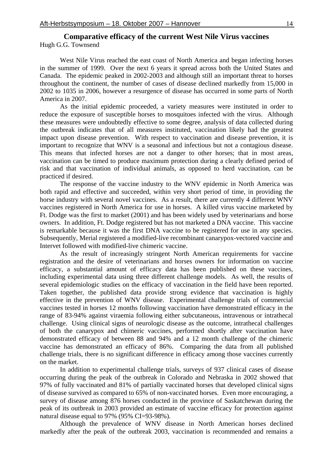#### **Comparative efficacy of the current West Nile Virus vaccines**  Hugh G.G. Townsend

West Nile Virus reached the east coast of North America and began infecting horses in the summer of 1999. Over the next 6 years it spread across both the United States and Canada. The epidemic peaked in 2002-2003 and although still an important threat to horses throughout the continent, the number of cases of disease declined markedly from 15,000 in 2002 to 1035 in 2006, however a resurgence of disease has occurred in some parts of North America in 2007.

As the initial epidemic proceeded, a variety measures were instituted in order to reduce the exposure of susceptible horses to mosquitoes infected with the virus. Although these measures were undoubtedly effective to some degree, analysis of data collected during the outbreak indicates that of all measures instituted, vaccination likely had the greatest impact upon disease prevention. With respect to vaccination and disease prevention, it is important to recognize that WNV is a seasonal and infectious but not a contagious disease. This means that infected horses are not a danger to other horses; that in most areas, vaccination can be timed to produce maximum protection during a clearly defined period of risk and that vaccination of individual animals, as opposed to herd vaccination, can be practiced if desired.

The response of the vaccine industry to the WNV epidemic in North America was both rapid and effective and succeeded, within very short period of time, in providing the horse industry with several novel vaccines. As a result, there are currently 4 different WNV vaccines registered in North America for use in horses. A killed virus vaccine marketed by Ft. Dodge was the first to market (2001) and has been widely used by veterinarians and horse owners. In addition, Ft. Dodge registered but has not marketed a DNA vaccine. This vaccine is remarkable because it was the first DNA vaccine to be registered for use in any species. Subsequently, Merial registered a modified-live recombinant canarypox-vectored vaccine and Intervet followed with modified-live chimeric vaccine.

As the result of increasingly stringent North American requirements for vaccine registration and the desire of veterinarians and horses owners for information on vaccine efficacy, a substantial amount of efficacy data has been published on these vaccines, including experimental data using three different challenge models. As well, the results of several epidemiologic studies on the efficacy of vaccination in the field have been reported. Taken together, the published data provide strong evidence that vaccination is highly effective in the prevention of WNV disease. Experimental challenge trials of commercial vaccines tested in horses 12 months following vaccination have demonstrated efficacy in the range of 83-94% against viraemia following either subcutaneous, intravenous or intrathecal challenge. Using clinical signs of neurologic disease as the outcome, intrathecal challenges of both the canarypox and chimeric vaccines, performed shortly after vaccination have demonstrated efficacy of between 88 and 94% and a 12 month challenge of the chimeric vaccine has demonstrated an efficacy of 86%. Comparing the data from all published challenge trials, there is no significant difference in efficacy among those vaccines currently on the market.

In addition to experimental challenge trials, surveys of 937 clinical cases of disease occurring during the peak of the outbreak in Colorado and Nebraska in 2002 showed that 97% of fully vaccinated and 81% of partially vaccinated horses that developed clinical signs of disease survived as compared to 65% of non-vaccinated horses. Even more encouraging, a survey of disease among 876 horses conducted in the province of Saskatchewan during the peak of its outbreak in 2003 provided an estimate of vaccine efficacy for protection against natural disease equal to 97% (95% CI=93-98%).

Although the prevalence of WNV disease in North American horses declined markedly after the peak of the outbreak 2003, vaccination is recommended and remains a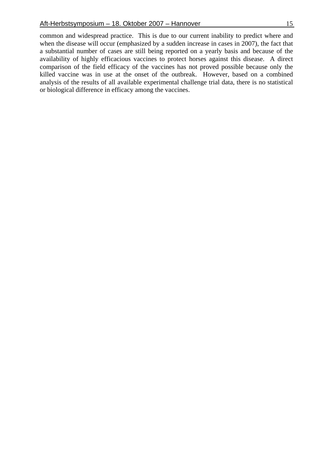common and widespread practice. This is due to our current inability to predict where and when the disease will occur (emphasized by a sudden increase in cases in 2007), the fact that a substantial number of cases are still being reported on a yearly basis and because of the availability of highly efficacious vaccines to protect horses against this disease. A direct comparison of the field efficacy of the vaccines has not proved possible because only the killed vaccine was in use at the onset of the outbreak. However, based on a combined analysis of the results of all available experimental challenge trial data, there is no statistical or biological difference in efficacy among the vaccines.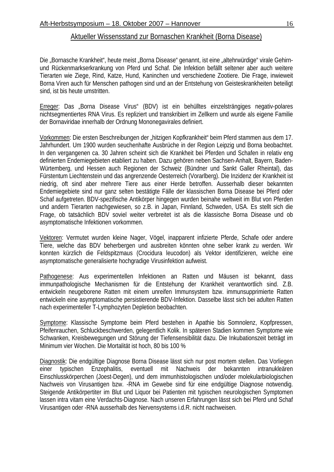#### Aktueller Wissensstand zur Bornaschen Krankheit (Borna Disease)

Die "Bornasche Krankheit", heute meist "Borna Disease" genannt, ist eine "altehrwürdige" virale Gehirnund Rückenmarkserkrankung von Pferd und Schaf. Die Infektion befällt seltener aber auch weitere Tierarten wie Ziege, Rind, Katze, Hund, Kaninchen und verschiedene Zootiere. Die Frage, inwieweit Borna Viren auch für Menschen pathogen sind und an der Entstehung von Geisteskrankheiten beteiligt sind, ist bis heute umstritten.

Erreger: Das "Borna Disease Virus" (BDV) ist ein behülltes einzelsträngiges negativ-polares nichtsegmentiertes RNA Virus. Es repliziert und transkribiert im Zellkern und wurde als eigene Familie der Bornaviridae innerhalb der Ordnung Mononegavirales definiert.

Vorkommen: Die ersten Beschreibungen der "hitzigen Kopfkrankheit" beim Pferd stammen aus dem 17. Jahrhundert. Um 1900 wurden seuchenhafte Ausbrüche in der Region Leipzig und Borna beobachtet. In den vergangenen ca. 30 Jahren scheint sich die Krankheit bei Pferden und Schafen in relativ eng definierten Endemiegebieten etabliert zu haben. Dazu gehören neben Sachsen-Anhalt, Bayern, Baden-Würtemberg, und Hessen auch Regionen der Schweiz (Bündner und Sankt Galler Rheintal), das Fürstentum Liechtenstein und das angrenzende Oesterreich (Vorarlberg). Die Inzidenz der Krankheit ist niedrig, oft sind aber mehrere Tiere aus einer Herde betroffen. Ausserhalb dieser bekannten Endemiegebiete sind nur ganz selten bestätigte Fälle der klassischen Borna Disease bei Pferd oder Schaf aufgetreten. BDV-spezifische Antikörper hingegen wurden beinahe weltweit im Blut von Pferden und andern Tierarten nachgewiesen, so z.B. in Japan, Finnland, Schweden, USA. Es stellt sich die Frage, ob tatsächlich BDV soviel weiter verbreitet ist als die klassische Borna Disease und ob asymptomatische Infektionen vorkommen.

Vektoren: Vermutet wurden kleine Nager, Vögel, inapparent infizierte Pferde, Schafe oder andere Tiere, welche das BDV beherbergen und ausbreiten könnten ohne selber krank zu werden. Wir konnten kürzlich die Feldspitzmaus (Crocidura leucodon) als Vektor identifizieren, welche eine asymptomatische generalisierte hochgradige Virusinfektion aufweist.

Pathogenese: Aus experimentellen Infektionen an Ratten und Mäusen ist bekannt, dass immunpathologische Mechanismen für die Entstehung der Krankheit verantwortlich sind. Z.B. entwickeln neugeborene Ratten mit einem unreifen Immunsystem bzw. immunsupprimierte Ratten entwickeln eine asymptomatische persistierende BDV-Infektion. Dasselbe lässt sich bei adulten Ratten nach experimenteller T-Lymphozyten Depletion beobachten.

Symptome: Klassische Symptome beim Pferd bestehen in Apathie bis Somnolenz, Kopfpressen, Pfeifenrauchen, Schluckbeschwerden, gelegentlich Kolik. In späteren Stadien kommen Symptome wie Schwanken, Kreisbewegungen und Störung der Tiefensensibilität dazu. Die Inkubationszeit beträgt im Minimum vier Wochen. Die Mortalität ist hoch, 80 bis 100 %

Diagnostik: Die endgültige Diagnose Borna Disease lässt sich nur post mortem stellen. Das Vorliegen einer typischen Enzephalitis, eventuell mit Nachweis der bekannten intranukleären Einschlusskörperchen (Joest-Degen), und dem immunhistologischen und/oder molekularbiologischen Nachweis von Virusantigen bzw. -RNA im Gewebe sind für eine endgültige Diagnose notwendig. Steigende Antikörpertiter im Blut und Liquor bei Patienten mit typischen neurologischen Symptomen lassen intra vitam eine Verdachts-Diagnose. Nach unseren Erfahrungen lässt sich bei Pferd und Schaf Virusantigen oder -RNA ausserhalb des Nervensystems i.d.R. nicht nachweisen.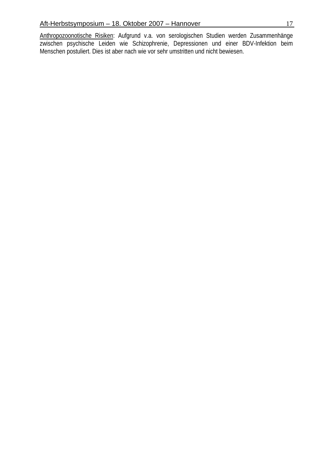Anthropozoonotische Risiken: Aufgrund v.a. von serologischen Studien werden Zusammenhänge zwischen psychische Leiden wie Schizophrenie, Depressionen und einer BDV-Infektion beim Menschen postuliert. Dies ist aber nach wie vor sehr umstritten und nicht bewiesen.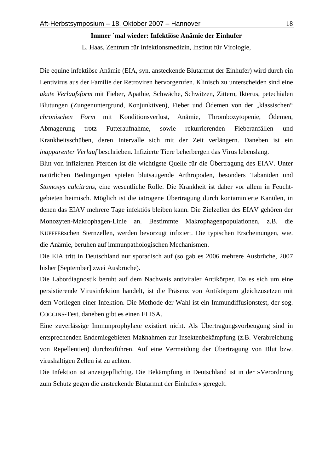#### **Immer ´mal wieder: Infektiöse Anämie der Einhufer**

L. Haas, Zentrum für Infektionsmedizin, Institut für Virologie,

Die equine infektiöse Anämie (EIA, syn. ansteckende Blutarmut der Einhufer) wird durch ein Lentivirus aus der Familie der Retroviren hervorgerufen. Klinisch zu unterscheiden sind eine *akute Verlaufsform* mit Fieber, Apathie, Schwäche, Schwitzen, Zittern, Ikterus, petechialen Blutungen (Zungenuntergrund, Konjunktiven), Fieber und Ödemen von der "klassischen" *chronischen Form* mit Konditionsverlust, Anämie, Thrombozytopenie, Ödemen, Abmagerung trotz Futteraufnahme, sowie rekurrierenden Fieberanfällen und Krankheitsschüben, deren Intervalle sich mit der Zeit verlängern. Daneben ist ein *inapparenter Verlauf* beschrieben. Infizierte Tiere beherbergen das Virus lebenslang.

Blut von infizierten Pferden ist die wichtigste Quelle für die Übertragung des EIAV. Unter natürlichen Bedingungen spielen blutsaugende Arthropoden, besonders Tabaniden und *Stomoxys calcitrans*, eine wesentliche Rolle. Die Krankheit ist daher vor allem in Feuchtgebieten heimisch. Möglich ist die iatrogene Übertragung durch kontaminierte Kanülen, in denen das EIAV mehrere Tage infektiös bleiben kann. Die Zielzellen des EIAV gehören der Monozyten-Makrophagen-Linie an. Bestimmte Makrophagenpopulationen, z.B. die KUPFFERschen Sternzellen, werden bevorzugt infiziert. Die typischen Erscheinungen, wie. die Anämie, beruhen auf immunpathologischen Mechanismen.

Die EIA tritt in Deutschland nur sporadisch auf (so gab es 2006 mehrere Ausbrüche, 2007 bisher [September] zwei Ausbrüche).

Die Labordiagnostik beruht auf dem Nachweis antiviraler Antikörper. Da es sich um eine persistierende Virusinfektion handelt, ist die Präsenz von Antikörpern gleichzusetzen mit dem Vorliegen einer Infektion. Die Methode der Wahl ist ein Immundiffusionstest, der sog. COGGINS-Test, daneben gibt es einen ELISA.

Eine zuverlässige Immunprophylaxe existiert nicht. Als Übertragungsvorbeugung sind in entsprechenden Endemiegebieten Maßnahmen zur Insektenbekämpfung (z.B. Verabreichung von Repellentien) durchzuführen. Auf eine Vermeidung der Übertragung von Blut bzw. virushaltigen Zellen ist zu achten.

Die Infektion ist anzeigepflichtig. Die Bekämpfung in Deutschland ist in der »Verordnung zum Schutz gegen die ansteckende Blutarmut der Einhufer« geregelt.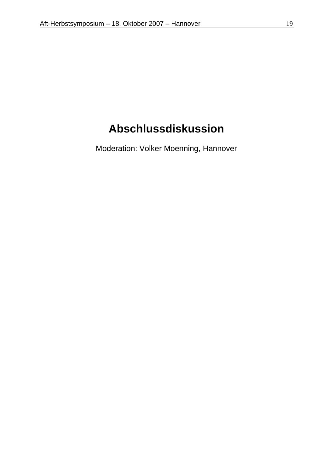## **Abschlussdiskussion**

Moderation: Volker Moenning, Hannover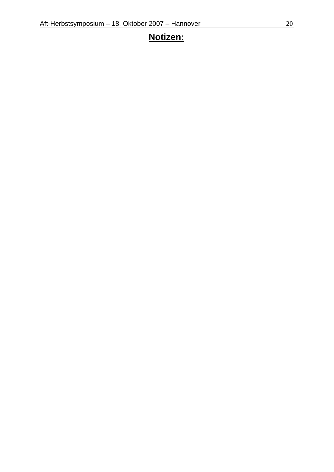### **Notizen:**